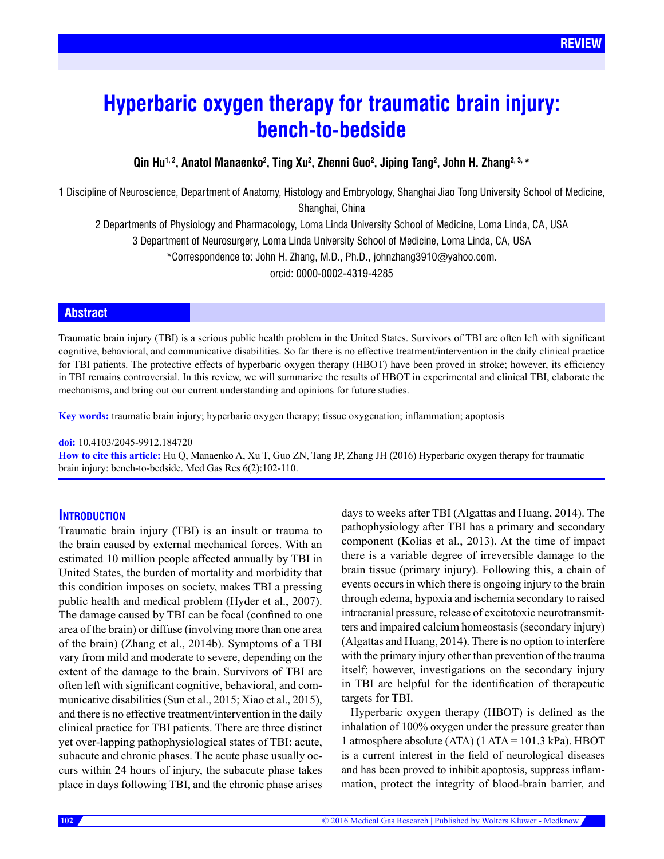# **Hyperbaric oxygen therapy for traumatic brain injury: bench-to-bedside**

# Qin Hu<sup>1, 2</sup>, Anatol Manaenko<sup>2</sup>, Ting Xu<sup>2</sup>, Zhenni Guo<sup>2</sup>, Jiping Tang<sup>2</sup>, John H. Zhang<sup>2, 3,</sup> \*

1 Discipline of Neuroscience, Department of Anatomy, Histology and Embryology, Shanghai Jiao Tong University School of Medicine, Shanghai, China

2 Departments of Physiology and Pharmacology, Loma Linda University School of Medicine, Loma Linda, CA, USA 3 Department of Neurosurgery, Loma Linda University School of Medicine, Loma Linda, CA, USA

\*Correspondence to: John H. Zhang, M.D., Ph.D., johnzhang3910@yahoo.com.

orcid: 0000-0002-4319-4285

# **Abstract**

Traumatic brain injury (TBI) is a serious public health problem in the United States. Survivors of TBI are often left with significant cognitive, behavioral, and communicative disabilities. So far there is no effective treatment/intervention in the daily clinical practice for TBI patients. The protective effects of hyperbaric oxygen therapy (HBOT) have been proved in stroke; however, its efficiency in TBI remains controversial. In this review, we will summarize the results of HBOT in experimental and clinical TBI, elaborate the mechanisms, and bring out our current understanding and opinions for future studies.

**Key words:** traumatic brain injury; hyperbaric oxygen therapy; tissue oxygenation; inflammation; apoptosis

#### **doi:** 10.4103/2045-9912.184720

**How to cite this article:** Hu Q, Manaenko A, Xu T, Guo ZN, Tang JP, Zhang JH (2016) Hyperbaric oxygen therapy for traumatic brain injury: bench-to-bedside. Med Gas Res 6(2):102-110.

# **Introduction**

Traumatic brain injury (TBI) is an insult or trauma to the brain caused by external mechanical forces. With an estimated 10 million people affected annually by TBI in United States, the burden of mortality and morbidity that this condition imposes on society, makes TBI a pressing public health and medical problem (Hyder et al., 2007). The damage caused by TBI can be focal (confined to one area of the brain) or diffuse (involving more than one area of the brain) (Zhang et al., 2014b). Symptoms of a TBI vary from mild and moderate to severe, depending on the extent of the damage to the brain. Survivors of TBI are often left with significant cognitive, behavioral, and communicative disabilities (Sun et al., 2015; Xiao et al., 2015), and there is no effective treatment/intervention in the daily clinical practice for TBI patients. There are three distinct yet over-lapping pathophysiological states of TBI: acute, subacute and chronic phases. The acute phase usually occurs within 24 hours of injury, the subacute phase takes place in days following TBI, and the chronic phase arises days to weeks after TBI (Algattas and Huang, 2014). The pathophysiology after TBI has a primary and secondary component (Kolias et al., 2013). At the time of impact there is a variable degree of irreversible damage to the brain tissue (primary injury). Following this, a chain of events occurs in which there is ongoing injury to the brain through edema, hypoxia and ischemia secondary to raised intracranial pressure, release of excitotoxic neurotransmitters and impaired calcium homeostasis (secondary injury) (Algattas and Huang, 2014). There is no option to interfere with the primary injury other than prevention of the trauma itself; however, investigations on the secondary injury in TBI are helpful for the identification of therapeutic targets for TBI.

Hyperbaric oxygen therapy (HBOT) is defined as the inhalation of 100% oxygen under the pressure greater than 1 atmosphere absolute (ATA) (1 ATA = 101.3 kPa). HBOT is a current interest in the field of neurological diseases and has been proved to inhibit apoptosis, suppress inflammation, protect the integrity of blood-brain barrier, and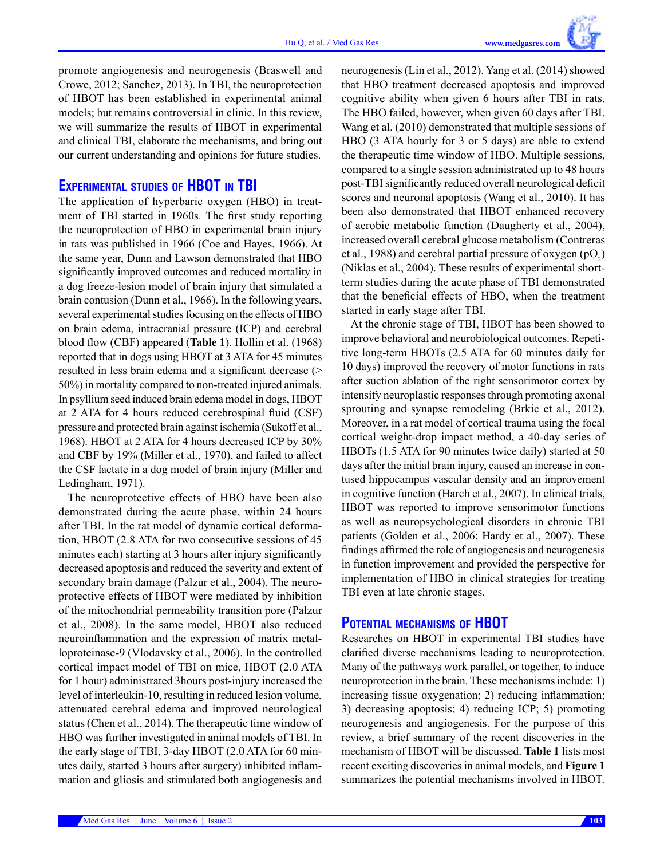promote angiogenesis and neurogenesis (Braswell and Crowe, 2012; Sanchez, 2013). In TBI, the neuroprotection of HBOT has been established in experimental animal models; but remains controversial in clinic. In this review, we will summarize the results of HBOT in experimental and clinical TBI, elaborate the mechanisms, and bring out our current understanding and opinions for future studies.

# **Experimental studies of HBOT in TBI**

The application of hyperbaric oxygen (HBO) in treatment of TBI started in 1960s. The first study reporting the neuroprotection of HBO in experimental brain injury in rats was published in 1966 (Coe and Hayes, 1966). At the same year, Dunn and Lawson demonstrated that HBO significantly improved outcomes and reduced mortality in a dog freeze-lesion model of brain injury that simulated a brain contusion (Dunn et al., 1966). In the following years, several experimental studies focusing on the effects of HBO on brain edema, intracranial pressure (ICP) and cerebral blood flow (CBF) appeared (**Table 1**). Hollin et al. (1968) reported that in dogs using HBOT at 3 ATA for 45 minutes resulted in less brain edema and a significant decrease (> 50%) in mortality compared to non-treated injured animals. In psyllium seed induced brain edema model in dogs, HBOT at 2 ATA for 4 hours reduced cerebrospinal fluid (CSF) pressure and protected brain against ischemia (Sukoff et al., 1968). HBOT at 2 ATA for 4 hours decreased ICP by 30% and CBF by 19% (Miller et al., 1970), and failed to affect the CSF lactate in a dog model of brain injury (Miller and Ledingham, 1971).

The neuroprotective effects of HBO have been also demonstrated during the acute phase, within 24 hours after TBI. In the rat model of dynamic cortical deformation, HBOT (2.8 ATA for two consecutive sessions of 45 minutes each) starting at 3 hours after injury significantly decreased apoptosis and reduced the severity and extent of secondary brain damage (Palzur et al., 2004). The neuroprotective effects of HBOT were mediated by inhibition of the mitochondrial permeability transition pore (Palzur et al., 2008). In the same model, HBOT also reduced neuroinflammation and the expression of matrix metalloproteinase-9 (Vlodavsky et al., 2006). In the controlled cortical impact model of TBI on mice, HBOT (2.0 ATA for 1 hour) administrated 3hours post-injury increased the level of interleukin-10, resulting in reduced lesion volume, attenuated cerebral edema and improved neurological status (Chen et al., 2014). The therapeutic time window of HBO was further investigated in animal models of TBI. In the early stage of TBI, 3-day HBOT (2.0 ATA for 60 minutes daily, started 3 hours after surgery) inhibited inflammation and gliosis and stimulated both angiogenesis and neurogenesis (Lin et al., 2012). Yang et al. (2014) showed that HBO treatment decreased apoptosis and improved cognitive ability when given 6 hours after TBI in rats. The HBO failed, however, when given 60 days after TBI. Wang et al. (2010) demonstrated that multiple sessions of HBO (3 ATA hourly for 3 or 5 days) are able to extend the therapeutic time window of HBO. Multiple sessions, compared to a single session administrated up to 48 hours post-TBI significantly reduced overall neurological deficit scores and neuronal apoptosis (Wang et al., 2010). It has been also demonstrated that HBOT enhanced recovery of aerobic metabolic function (Daugherty et al., 2004), increased overall cerebral glucose metabolism (Contreras et al., 1988) and cerebral partial pressure of oxygen  $(pO_2)$ (Niklas et al., 2004). These results of experimental shortterm studies during the acute phase of TBI demonstrated that the beneficial effects of HBO, when the treatment started in early stage after TBI.

At the chronic stage of TBI, HBOT has been showed to improve behavioral and neurobiological outcomes. Repetitive long-term HBOTs (2.5 ATA for 60 minutes daily for 10 days) improved the recovery of motor functions in rats after suction ablation of the right sensorimotor cortex by intensify neuroplastic responses through promoting axonal sprouting and synapse remodeling (Brkic et al., 2012). Moreover, in a rat model of cortical trauma using the focal cortical weight-drop impact method, a 40-day series of HBOTs (1.5 ATA for 90 minutes twice daily) started at 50 days after the initial brain injury, caused an increase in contused hippocampus vascular density and an improvement in cognitive function (Harch et al., 2007). In clinical trials, HBOT was reported to improve sensorimotor functions as well as neuropsychological disorders in chronic TBI patients (Golden et al., 2006; Hardy et al., 2007). These findings affirmed the role of angiogenesis and neurogenesis in function improvement and provided the perspective for implementation of HBO in clinical strategies for treating TBI even at late chronic stages.

# **Potential mechanisms of HBOT**

Researches on HBOT in experimental TBI studies have clarified diverse mechanisms leading to neuroprotection. Many of the pathways work parallel, or together, to induce neuroprotection in the brain. These mechanisms include: 1) increasing tissue oxygenation; 2) reducing inflammation; 3) decreasing apoptosis; 4) reducing ICP; 5) promoting neurogenesis and angiogenesis. For the purpose of this review, a brief summary of the recent discoveries in the mechanism of HBOT will be discussed. **Table 1** lists most recent exciting discoveries in animal models, and **Figure 1**  summarizes the potential mechanisms involved in HBOT.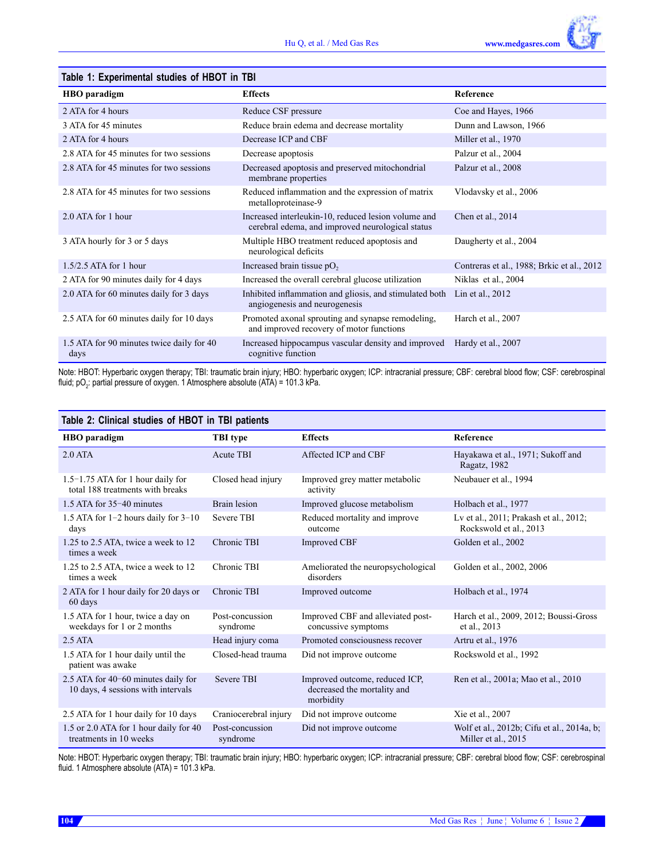| Table 1: Experimental studies of HBOT in TBI      |                                                                                                         |                                            |  |  |
|---------------------------------------------------|---------------------------------------------------------------------------------------------------------|--------------------------------------------|--|--|
| HBO paradigm                                      | <b>Effects</b>                                                                                          | Reference                                  |  |  |
| 2 ATA for 4 hours                                 | Reduce CSF pressure                                                                                     | Coe and Hayes, 1966                        |  |  |
| 3 ATA for 45 minutes                              | Reduce brain edema and decrease mortality                                                               | Dunn and Lawson, 1966                      |  |  |
| 2 ATA for 4 hours                                 | Decrease ICP and CBF                                                                                    | Miller et al., 1970                        |  |  |
| 2.8 ATA for 45 minutes for two sessions           | Palzur et al., 2004<br>Decrease apoptosis                                                               |                                            |  |  |
| 2.8 ATA for 45 minutes for two sessions           | Decreased apoptosis and preserved mitochondrial<br>Palzur et al., 2008<br>membrane properties           |                                            |  |  |
| 2.8 ATA for 45 minutes for two sessions           | Reduced inflammation and the expression of matrix<br>metalloproteinase-9                                | Vlodavsky et al., 2006                     |  |  |
| 2.0 ATA for 1 hour                                | Increased interleukin-10, reduced lesion volume and<br>cerebral edema, and improved neurological status | Chen et al., 2014                          |  |  |
| 3 ATA hourly for 3 or 5 days                      | Multiple HBO treatment reduced apoptosis and<br>neurological deficits                                   | Daugherty et al., 2004                     |  |  |
| $1.5/2.5$ ATA for 1 hour                          | Increased brain tissue $pO2$                                                                            | Contreras et al., 1988; Brkic et al., 2012 |  |  |
| 2 ATA for 90 minutes daily for 4 days             | Increased the overall cerebral glucose utilization                                                      | Niklas et al., 2004                        |  |  |
| 2.0 ATA for 60 minutes daily for 3 days           | Inhibited inflammation and gliosis, and stimulated both<br>angiogenesis and neurogenesis                | Lin et al., 2012                           |  |  |
| 2.5 ATA for 60 minutes daily for 10 days          | Promoted axonal sprouting and synapse remodeling,<br>and improved recovery of motor functions           | Harch et al., 2007                         |  |  |
| 1.5 ATA for 90 minutes twice daily for 40<br>days | Increased hippocampus vascular density and improved<br>Hardy et al., 2007<br>cognitive function         |                                            |  |  |

Note: HBOT: Hyperbaric oxygen therapy; TBI: traumatic brain injury; HBO: hyperbaric oxygen; ICP: intracranial pressure; CBF: cerebral blood flow; CSF: cerebrospinal fluid; p $\mathrm{O}_2$ : partial pressure of oxygen. 1 Atmosphere absolute (ATA) = 101.3 kPa.

| Table 2: Clinical studies of HBOT in TBI patients                         |                             |                                                                            |                                                                   |  |
|---------------------------------------------------------------------------|-----------------------------|----------------------------------------------------------------------------|-------------------------------------------------------------------|--|
| <b>HBO</b> paradigm                                                       | <b>TBI</b> type             | <b>Effects</b>                                                             | <b>Reference</b>                                                  |  |
| $2.0$ ATA                                                                 | <b>Acute TBI</b>            | Affected ICP and CBF                                                       | Hayakawa et al., 1971; Sukoff and<br>Ragatz, 1982                 |  |
| $1.5-1.75$ ATA for 1 hour daily for<br>total 188 treatments with breaks   | Closed head injury          | Improved grey matter metabolic<br>activity                                 | Neubauer et al., 1994                                             |  |
| 1.5 ATA for 35-40 minutes                                                 | Brain lesion                | Improved glucose metabolism                                                | Holbach et al., 1977                                              |  |
| 1.5 ATA for $1-2$ hours daily for $3-10$<br>days                          | <b>Severe TBI</b>           | Reduced mortality and improve<br>outcome                                   | Lv et al., 2011; Prakash et al., 2012;<br>Rockswold et al., 2013  |  |
| 1.25 to 2.5 ATA, twice a week to 12<br>times a week                       | Chronic TBI                 | <b>Improved CBF</b>                                                        | Golden et al., 2002                                               |  |
| 1.25 to 2.5 ATA, twice a week to 12<br>times a week                       | Chronic TBI                 | Ameliorated the neuropsychological<br>disorders                            | Golden et al., 2002, 2006                                         |  |
| 2 ATA for 1 hour daily for 20 days or<br>60 days                          | Chronic TBI                 | Improved outcome                                                           | Holbach et al., 1974                                              |  |
| 1.5 ATA for 1 hour, twice a day on<br>weekdays for 1 or 2 months          | Post-concussion<br>syndrome | Improved CBF and alleviated post-<br>concussive symptoms                   | Harch et al., 2009, 2012; Boussi-Gross<br>et al., 2013            |  |
| 2.5 <sub>ATA</sub>                                                        | Head injury coma            | Promoted consciousness recover                                             | Artru et al., 1976                                                |  |
| 1.5 ATA for 1 hour daily until the<br>patient was awake                   | Closed-head trauma          | Did not improve outcome                                                    | Rockswold et al., 1992                                            |  |
| 2.5 ATA for 40-60 minutes daily for<br>10 days, 4 sessions with intervals | <b>Severe TBI</b>           | Improved outcome, reduced ICP,<br>decreased the mortality and<br>morbidity | Ren et al., 2001a; Mao et al., 2010                               |  |
| 2.5 ATA for 1 hour daily for 10 days                                      | Craniocerebral injury       | Did not improve outcome                                                    | Xie et al., 2007                                                  |  |
| 1.5 or 2.0 ATA for 1 hour daily for 40<br>treatments in 10 weeks          | Post-concussion<br>syndrome | Did not improve outcome                                                    | Wolf et al., 2012b; Cifu et al., 2014a, b;<br>Miller et al., 2015 |  |

Note: HBOT: Hyperbaric oxygen therapy; TBI: traumatic brain injury; HBO: hyperbaric oxygen; ICP: intracranial pressure; CBF: cerebral blood flow; CSF: cerebrospinal fluid. 1 Atmosphere absolute (ATA) = 101.3 kPa.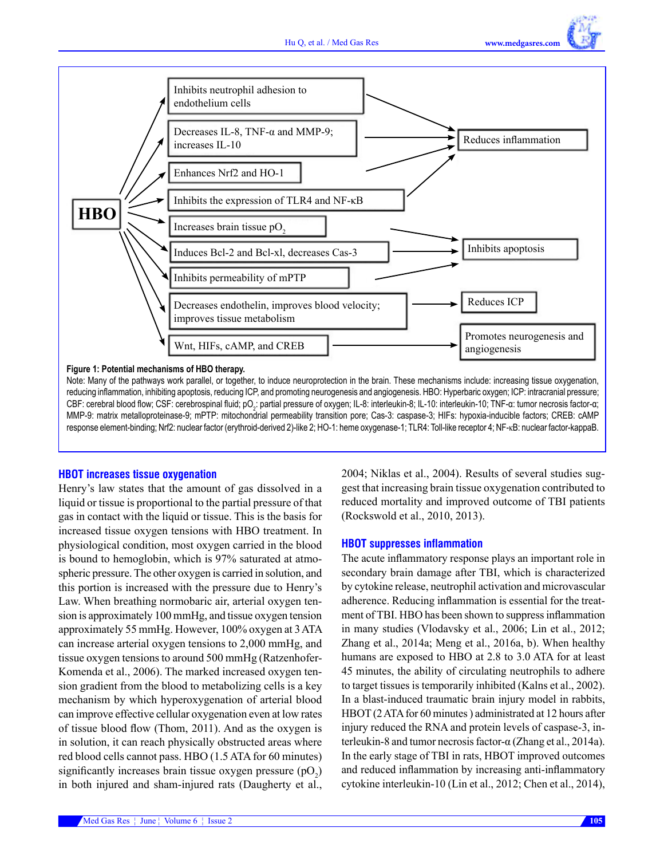



Note: Many of the pathways work parallel, or together, to induce neuroprotection in the brain. These mechanisms include: increasing tissue oxygenation, reducing inflammation, inhibiting apoptosis, reducing ICP, and promoting neurogenesis and angiogenesis. HBO: Hyperbaric oxygen; ICP: intracranial pressure; CBF: cerebral blood flow; CSF: cerebrospinal fluid; pO<sub>2</sub>: partial pressure of oxygen; IL-8: interleukin-8; IL-10: interleukin-10; TNF-α: tumor necrosis factor-α; MMP-9: matrix metalloproteinase-9; mPTP: mitochondrial permeability transition pore; Cas-3: caspase-3; HIFs: hypoxia-inducible factors; CREB: cAMP response element-binding; Nrf2: nuclear factor (erythroid-derived 2)-like 2; HO-1: heme oxygenase-1; TLR4: Toll-like receptor 4; NF-κB: nuclear factor-kappaB.

#### **HBOT increases tissue oxygenation**

Henry's law states that the amount of gas dissolved in a liquid or tissue is proportional to the partial pressure of that gas in contact with the liquid or tissue. This is the basis for increased tissue oxygen tensions with HBO treatment. In physiological condition, most oxygen carried in the blood is bound to hemoglobin, which is 97% saturated at atmospheric pressure. The other oxygen is carried in solution, and this portion is increased with the pressure due to Henry's Law. When breathing normobaric air, arterial oxygen tension is approximately 100 mmHg, and tissue oxygen tension approximately 55 mmHg. However, 100% oxygen at 3 ATA can increase arterial oxygen tensions to 2,000 mmHg, and tissue oxygen tensions to around 500 mmHg (Ratzenhofer-Komenda et al., 2006). The marked increased oxygen tension gradient from the blood to metabolizing cells is a key mechanism by which hyperoxygenation of arterial blood can improve effective cellular oxygenation even at low rates of tissue blood flow (Thom, 2011). And as the oxygen is in solution, it can reach physically obstructed areas where red blood cells cannot pass. HBO (1.5 ATA for 60 minutes) significantly increases brain tissue oxygen pressure  $(pO_2)$ in both injured and sham-injured rats (Daugherty et al.,

2004; Niklas et al., 2004). Results of several studies suggest that increasing brain tissue oxygenation contributed to reduced mortality and improved outcome of TBI patients (Rockswold et al., 2010, 2013).

#### **HBOT suppresses inflammation**

The acute inflammatory response plays an important role in secondary brain damage after TBI, which is characterized by cytokine release, neutrophil activation and microvascular adherence. Reducing inflammation is essential for the treatment of TBI. HBO has been shown to suppress inflammation in many studies (Vlodavsky et al., 2006; Lin et al., 2012; Zhang et al., 2014a; Meng et al., 2016a, b). When healthy humans are exposed to HBO at 2.8 to 3.0 ATA for at least 45 minutes, the ability of circulating neutrophils to adhere to target tissues is temporarily inhibited (Kalns et al., 2002). In a blast-induced traumatic brain injury model in rabbits, HBOT (2 ATA for 60 minutes ) administrated at 12 hours after injury reduced the RNA and protein levels of caspase-3, interleukin-8 and tumor necrosis factor-α (Zhang et al., 2014a). In the early stage of TBI in rats, HBOT improved outcomes and reduced inflammation by increasing anti-inflammatory cytokine interleukin-10 (Lin et al., 2012; Chen et al., 2014),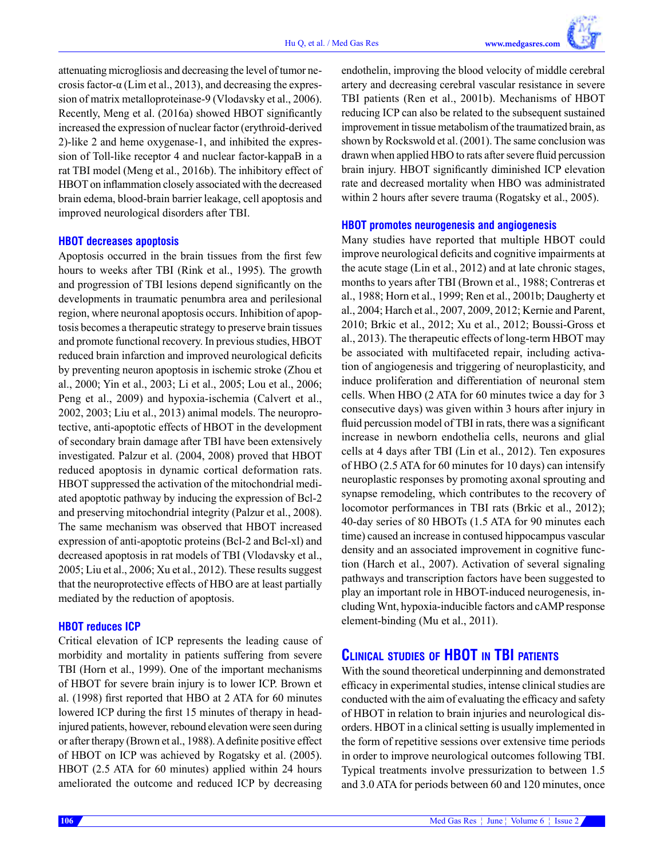attenuating microgliosis and decreasing the level of tumor necrosis factor-α (Lim et al., 2013), and decreasing the expression of matrix metalloproteinase-9 (Vlodavsky et al., 2006). Recently, Meng et al. (2016a) showed HBOT significantly increased the expression of nuclear factor (erythroid-derived 2)-like 2 and heme oxygenase-1, and inhibited the expression of Toll-like receptor 4 and nuclear factor-kappaB in a rat TBI model (Meng et al., 2016b). The inhibitory effect of HBOT on inflammation closely associated with the decreased brain edema, blood-brain barrier leakage, cell apoptosis and improved neurological disorders after TBI.

#### **HBOT decreases apoptosis**

Apoptosis occurred in the brain tissues from the first few hours to weeks after TBI (Rink et al., 1995). The growth and progression of TBI lesions depend significantly on the developments in traumatic penumbra area and perilesional region, where neuronal apoptosis occurs. Inhibition of apoptosis becomes a therapeutic strategy to preserve brain tissues and promote functional recovery. In previous studies, HBOT reduced brain infarction and improved neurological deficits by preventing neuron apoptosis in ischemic stroke (Zhou et al., 2000; Yin et al., 2003; Li et al., 2005; Lou et al., 2006; Peng et al., 2009) and hypoxia-ischemia (Calvert et al., 2002, 2003; Liu et al., 2013) animal models. The neuroprotective, anti-apoptotic effects of HBOT in the development of secondary brain damage after TBI have been extensively investigated. Palzur et al. (2004, 2008) proved that HBOT reduced apoptosis in dynamic cortical deformation rats. HBOT suppressed the activation of the mitochondrial mediated apoptotic pathway by inducing the expression of Bcl-2 and preserving mitochondrial integrity (Palzur et al., 2008). The same mechanism was observed that HBOT increased expression of anti-apoptotic proteins (Bcl-2 and Bcl-xl) and decreased apoptosis in rat models of TBI (Vlodavsky et al., 2005; Liu et al., 2006; Xu et al., 2012). These results suggest that the neuroprotective effects of HBO are at least partially mediated by the reduction of apoptosis.

### **HBOT reduces ICP**

Critical elevation of ICP represents the leading cause of morbidity and mortality in patients suffering from severe TBI (Horn et al., 1999). One of the important mechanisms of HBOT for severe brain injury is to lower ICP. Brown et al. (1998) first reported that HBO at 2 ATA for 60 minutes lowered ICP during the first 15 minutes of therapy in headinjured patients, however, rebound elevation were seen during or after therapy (Brown et al., 1988). A definite positive effect of HBOT on ICP was achieved by Rogatsky et al. (2005). HBOT (2.5 ATA for 60 minutes) applied within 24 hours ameliorated the outcome and reduced ICP by decreasing

endothelin, improving the blood velocity of middle cerebral artery and decreasing cerebral vascular resistance in severe TBI patients (Ren et al., 2001b). Mechanisms of HBOT reducing ICP can also be related to the subsequent sustained improvement in tissue metabolism of the traumatized brain, as shown by Rockswold et al. (2001). The same conclusion was drawn when applied HBO to rats after severe fluid percussion brain injury. HBOT significantly diminished ICP elevation rate and decreased mortality when HBO was administrated within 2 hours after severe trauma (Rogatsky et al., 2005).

#### **HBOT promotes neurogenesis and angiogenesis**

Many studies have reported that multiple HBOT could improve neurological deficits and cognitive impairments at the acute stage (Lin et al., 2012) and at late chronic stages, months to years after TBI (Brown et al., 1988; Contreras et al., 1988; Horn et al., 1999; Ren et al., 2001b; Daugherty et al., 2004; Harch et al., 2007, 2009, 2012; Kernie and Parent, 2010; Brkic et al., 2012; Xu et al., 2012; Boussi-Gross et al., 2013). The therapeutic effects of long-term HBOT may be associated with multifaceted repair, including activation of angiogenesis and triggering of neuroplasticity, and induce proliferation and differentiation of neuronal stem cells. When HBO (2 ATA for 60 minutes twice a day for 3 consecutive days) was given within 3 hours after injury in fluid percussion model of TBI in rats, there was a significant increase in newborn endothelia cells, neurons and glial cells at 4 days after TBI (Lin et al., 2012). Ten exposures of HBO (2.5 ATA for 60 minutes for 10 days) can intensify neuroplastic responses by promoting axonal sprouting and synapse remodeling, which contributes to the recovery of locomotor performances in TBI rats (Brkic et al., 2012); 40-day series of 80 HBOTs (1.5 ATA for 90 minutes each time) caused an increase in contused hippocampus vascular density and an associated improvement in cognitive function (Harch et al., 2007). Activation of several signaling pathways and transcription factors have been suggested to play an important role in HBOT-induced neurogenesis, including Wnt, hypoxia-inducible factors and cAMP response element-binding (Mu et al., 2011).

# **Clinical studies of HBOT in TBI patients**

With the sound theoretical underpinning and demonstrated efficacy in experimental studies, intense clinical studies are conducted with the aim of evaluating the efficacy and safety of HBOT in relation to brain injuries and neurological disorders. HBOT in a clinical setting is usually implemented in the form of repetitive sessions over extensive time periods in order to improve neurological outcomes following TBI. Typical treatments involve pressurization to between 1.5 and 3.0 ATA for periods between 60 and 120 minutes, once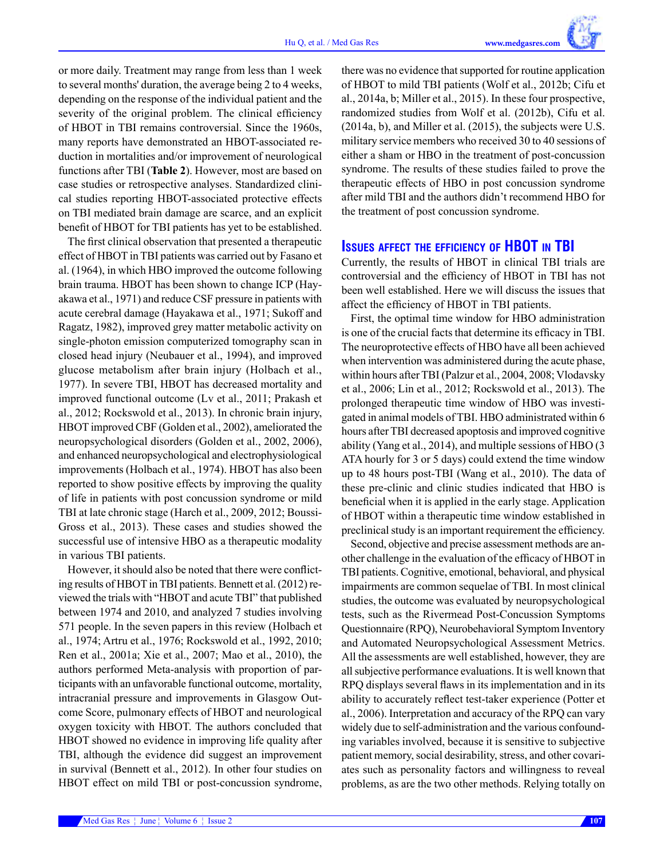or more daily. Treatment may range from less than 1 week to several months' duration, the average being 2 to 4 weeks, depending on the response of the individual patient and the severity of the original problem. The clinical efficiency of HBOT in TBI remains controversial. Since the 1960s, many reports have demonstrated an HBOT-associated reduction in mortalities and/or improvement of neurological functions after TBI (**Table 2**). However, most are based on case studies or retrospective analyses. Standardized clinical studies reporting HBOT-associated protective effects on TBI mediated brain damage are scarce, and an explicit benefit of HBOT for TBI patients has yet to be established.

The first clinical observation that presented a therapeutic effect of HBOT in TBI patients was carried out by Fasano et al. (1964), in which HBO improved the outcome following brain trauma. HBOT has been shown to change ICP (Hayakawa et al., 1971) and reduce CSF pressure in patients with acute cerebral damage (Hayakawa et al., 1971; Sukoff and Ragatz, 1982), improved grey matter metabolic activity on single-photon emission computerized tomography scan in closed head injury (Neubauer et al., 1994), and improved glucose metabolism after brain injury (Holbach et al., 1977). In severe TBI, HBOT has decreased mortality and improved functional outcome (Lv et al., 2011; Prakash et al., 2012; Rockswold et al., 2013). In chronic brain injury, HBOT improved CBF (Golden et al., 2002), ameliorated the neuropsychological disorders (Golden et al., 2002, 2006), and enhanced neuropsychological and electrophysiological improvements (Holbach et al., 1974). HBOT has also been reported to show positive effects by improving the quality of life in patients with post concussion syndrome or mild TBI at late chronic stage (Harch et al., 2009, 2012; Boussi-Gross et al., 2013). These cases and studies showed the successful use of intensive HBO as a therapeutic modality in various TBI patients.

However, it should also be noted that there were conflicting results of HBOT in TBI patients. Bennett et al. (2012) reviewed the trials with "HBOT and acute TBI" that published between 1974 and 2010, and analyzed 7 studies involving 571 people. In the seven papers in this review (Holbach et al., 1974; Artru et al., 1976; Rockswold et al., 1992, 2010; Ren et al., 2001a; Xie et al., 2007; Mao et al., 2010), the authors performed Meta-analysis with proportion of participants with an unfavorable functional outcome, mortality, intracranial pressure and improvements in Glasgow Outcome Score, pulmonary effects of HBOT and neurological oxygen toxicity with HBOT. The authors concluded that HBOT showed no evidence in improving life quality after TBI, although the evidence did suggest an improvement in survival (Bennett et al., 2012). In other four studies on HBOT effect on mild TBI or post-concussion syndrome, there was no evidence that supported for routine application of HBOT to mild TBI patients (Wolf et al., 2012b; Cifu et al., 2014a, b; Miller et al., 2015). In these four prospective, randomized studies from Wolf et al. (2012b), Cifu et al. (2014a, b), and Miller et al. (2015), the subjects were U.S. military service members who received 30 to 40 sessions of either a sham or HBO in the treatment of post-concussion syndrome. The results of these studies failed to prove the therapeutic effects of HBO in post concussion syndrome after mild TBI and the authors didn't recommend HBO for the treatment of post concussion syndrome.

## **Issues affect the efficiency of HBOT in TBI**

Currently, the results of HBOT in clinical TBI trials are controversial and the efficiency of HBOT in TBI has not been well established. Here we will discuss the issues that affect the efficiency of HBOT in TBI patients.

First, the optimal time window for HBO administration is one of the crucial facts that determine its efficacy in TBI. The neuroprotective effects of HBO have all been achieved when intervention was administered during the acute phase, within hours after TBI (Palzur et al., 2004, 2008; Vlodavsky et al., 2006; Lin et al., 2012; Rockswold et al., 2013). The prolonged therapeutic time window of HBO was investigated in animal models of TBI. HBO administrated within 6 hours after TBI decreased apoptosis and improved cognitive ability (Yang et al., 2014), and multiple sessions of HBO (3 ATA hourly for 3 or 5 days) could extend the time window up to 48 hours post-TBI (Wang et al., 2010). The data of these pre-clinic and clinic studies indicated that HBO is beneficial when it is applied in the early stage. Application of HBOT within a therapeutic time window established in preclinical study is an important requirement the efficiency.

Second, objective and precise assessment methods are another challenge in the evaluation of the efficacy of HBOT in TBI patients. Cognitive, emotional, behavioral, and physical impairments are common sequelae of TBI. In most clinical studies, the outcome was evaluated by neuropsychological tests, such as the Rivermead Post-Concussion Symptoms Questionnaire (RPQ), Neurobehavioral Symptom Inventory and Automated Neuropsychological Assessment Metrics. All the assessments are well established, however, they are all subjective performance evaluations. It is well known that RPQ displays several flaws in its implementation and in its ability to accurately reflect test-taker experience (Potter et al., 2006). Interpretation and accuracy of the RPQ can vary widely due to self-administration and the various confounding variables involved, because it is sensitive to subjective patient memory, social desirability, stress, and other covariates such as personality factors and willingness to reveal problems, as are the two other methods. Relying totally on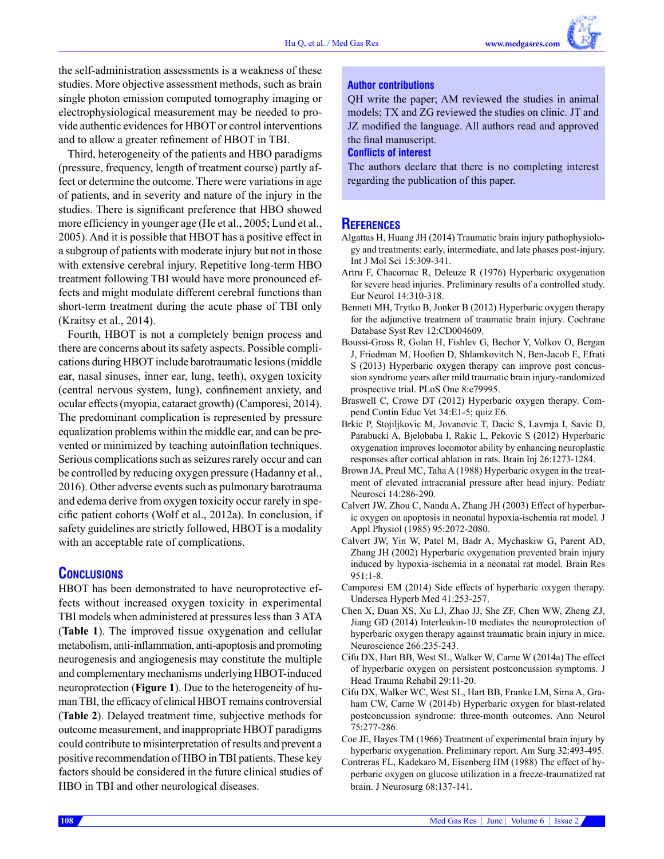the self-administration assessments is a weakness of these studies. More objective assessment methods, such as brain single photon emission computed tomography imaging or electrophysiological measurement may be needed to provide authentic evidences for HBOT or control interventions and to allow a greater refinement of HBOT in TBI.

Third, heterogeneity of the patients and HBO paradigms (pressure, frequency, length of treatment course) partly affect or determine the outcome. There were variations in age of patients, and in severity and nature of the injury in the studies. There is significant preference that HBO showed more efficiency in younger age (He et al., 2005; Lund et al., 2005). And it is possible that HBOT has a positive effect in a subgroup of patients with moderate injury but not in those with extensive cerebral injury. Repetitive long-term HBO treatment following TBI would have more pronounced effects and might modulate different cerebral functions than short-term treatment during the acute phase of TBI only (Kraitsy et al., 2014).

Fourth, HBOT is not a completely benign process and there are concerns about its safety aspects. Possible complications during HBOT include barotraumatic lesions (middle ear, nasal sinuses, inner ear, lung, teeth), oxygen toxicity (central nervous system, lung), confinement anxiety, and ocular effects (myopia, cataract growth) (Camporesi, 2014). The predominant complication is represented by pressure equalization problems within the middle ear, and can be prevented or minimized by teaching autoinflation techniques. Serious complications such as seizures rarely occur and can be controlled by reducing oxygen pressure (Hadanny et al., 2016). Other adverse events such as pulmonary barotrauma and edema derive from oxygen toxicity occur rarely in specific patient cohorts (Wolf et al., 2012a). In conclusion, if safety guidelines are strictly followed, HBOT is a modality with an acceptable rate of complications.

# **Conclusions**

HBOT has been demonstrated to have neuroprotective effects without increased oxygen toxicity in experimental TBI models when administered at pressures less than 3 ATA (**Table 1**). The improved tissue oxygenation and cellular metabolism, anti-inflammation, anti-apoptosis and promoting neurogenesis and angiogenesis may constitute the multiple and complementary mechanisms underlying HBOT-induced neuroprotection (**Figure 1**). Due to the heterogeneity of human TBI, the efficacy of clinical HBOT remains controversial (**Table 2**). Delayed treatment time, subjective methods for outcome measurement, and inappropriate HBOT paradigms could contribute to misinterpretation of results and prevent a positive recommendation of HBO in TBI patients. These key factors should be considered in the future clinical studies of HBO in TBI and other neurological diseases.

#### **Author contributions**

QH write the paper; AM reviewed the studies in animal models; TX and ZG reviewed the studies on clinic. JT and JZ modified the language. All authors read and approved the final manuscript.

#### **Conflicts of interest**

The authors declare that there is no completing interest regarding the publication of this paper.

# **References**

- Algattas H, Huang JH (2014) Traumatic brain injury pathophysiology and treatments: early, intermediate, and late phases post-injury. Int J Mol Sci 15:309-341.
- Artru F, Chacornac R, Deleuze R (1976) Hyperbaric oxygenation for severe head injuries. Preliminary results of a controlled study. Eur Neurol 14:310-318.
- Bennett MH, Trytko B, Jonker B (2012) Hyperbaric oxygen therapy for the adjunctive treatment of traumatic brain injury. Cochrane Database Syst Rev 12:CD004609.
- Boussi-Gross R, Golan H, Fishlev G, Bechor Y, Volkov O, Bergan J, Friedman M, Hoofien D, Shlamkovitch N, Ben-Jacob E, Efrati S (2013) Hyperbaric oxygen therapy can improve post concussion syndrome years after mild traumatic brain injury-randomized prospective trial. PLoS One 8:e79995.
- Braswell C, Crowe DT (2012) Hyperbaric oxygen therapy. Compend Contin Educ Vet 34:E1-5; quiz E6.
- Brkic P, Stojiljkovic M, Jovanovic T, Dacic S, Lavrnja I, Savic D, Parabucki A, Bjelobaba I, Rakic L, Pekovic S (2012) Hyperbaric oxygenation improves locomotor ability by enhancing neuroplastic responses after cortical ablation in rats. Brain Inj 26:1273-1284.
- Brown JA, Preul MC, Taha A (1988) Hyperbaric oxygen in the treatment of elevated intracranial pressure after head injury. Pediatr Neurosci 14:286-290.
- Calvert JW, Zhou C, Nanda A, Zhang JH (2003) Effect of hyperbaric oxygen on apoptosis in neonatal hypoxia-ischemia rat model. J Appl Physiol (1985) 95:2072-2080.
- Calvert JW, Yin W, Patel M, Badr A, Mychaskiw G, Parent AD, Zhang JH (2002) Hyperbaric oxygenation prevented brain injury induced by hypoxia-ischemia in a neonatal rat model. Brain Res 951:1-8.
- Camporesi EM (2014) Side effects of hyperbaric oxygen therapy. Undersea Hyperb Med 41:253-257.
- Chen X, Duan XS, Xu LJ, Zhao JJ, She ZF, Chen WW, Zheng ZJ, Jiang GD (2014) Interleukin-10 mediates the neuroprotection of hyperbaric oxygen therapy against traumatic brain injury in mice. Neuroscience 266:235-243.
- Cifu DX, Hart BB, West SL, Walker W, Carne W (2014a) The effect of hyperbaric oxygen on persistent postconcussion symptoms. J Head Trauma Rehabil 29:11-20.
- Cifu DX, Walker WC, West SL, Hart BB, Franke LM, Sima A, Graham CW, Carne W (2014b) Hyperbaric oxygen for blast-related postconcussion syndrome: three-month outcomes. Ann Neurol 75:277-286.
- Coe JE, Hayes TM (1966) Treatment of experimental brain injury by hyperbaric oxygenation. Preliminary report. Am Surg 32:493-495.
- Contreras FL, Kadekaro M, Eisenberg HM (1988) The effect of hyperbaric oxygen on glucose utilization in a freeze-traumatized rat brain. J Neurosurg 68:137-141.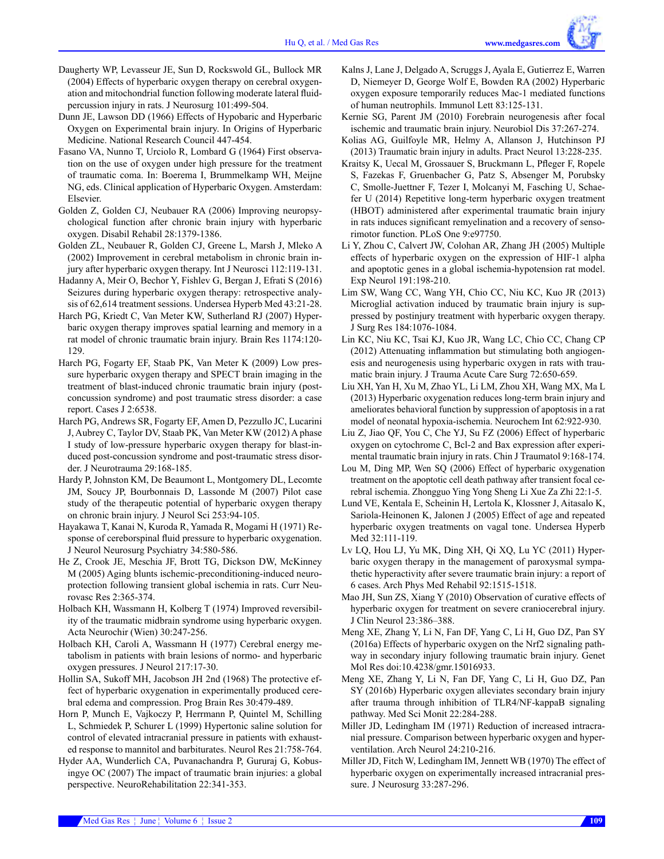- Daugherty WP, Levasseur JE, Sun D, Rockswold GL, Bullock MR (2004) Effects of hyperbaric oxygen therapy on cerebral oxygenation and mitochondrial function following moderate lateral fluidpercussion injury in rats. J Neurosurg 101:499-504.
- Dunn JE, Lawson DD (1966) Effects of Hypobaric and Hyperbaric Oxygen on Experimental brain injury. In Origins of Hyperbaric Medicine. National Research Council 447-454.
- Fasano VA, Nunno T, Urciolo R, Lombard G (1964) First observation on the use of oxygen under high pressure for the treatment of traumatic coma. In: Boerema I, Brummelkamp WH, Meijne NG, eds. Clinical application of Hyperbaric Oxygen. Amsterdam: Elsevier.
- Golden Z, Golden CJ, Neubauer RA (2006) Improving neuropsychological function after chronic brain injury with hyperbaric oxygen. Disabil Rehabil 28:1379-1386.
- Golden ZL, Neubauer R, Golden CJ, Greene L, Marsh J, Mleko A (2002) Improvement in cerebral metabolism in chronic brain injury after hyperbaric oxygen therapy. Int J Neurosci 112:119-131.
- Hadanny A, Meir O, Bechor Y, Fishlev G, Bergan J, Efrati S (2016) Seizures during hyperbaric oxygen therapy: retrospective analysis of 62,614 treatment sessions. Undersea Hyperb Med 43:21-28.
- Harch PG, Kriedt C, Van Meter KW, Sutherland RJ (2007) Hyperbaric oxygen therapy improves spatial learning and memory in a rat model of chronic traumatic brain injury. Brain Res 1174:120- 129.
- Harch PG, Fogarty EF, Staab PK, Van Meter K (2009) Low pressure hyperbaric oxygen therapy and SPECT brain imaging in the treatment of blast-induced chronic traumatic brain injury (postconcussion syndrome) and post traumatic stress disorder: a case report. Cases J 2:6538.
- Harch PG, Andrews SR, Fogarty EF, Amen D, Pezzullo JC, Lucarini J, Aubrey C, Taylor DV, Staab PK, Van Meter KW (2012) A phase I study of low-pressure hyperbaric oxygen therapy for blast-induced post-concussion syndrome and post-traumatic stress disorder. J Neurotrauma 29:168-185.
- Hardy P, Johnston KM, De Beaumont L, Montgomery DL, Lecomte JM, Soucy JP, Bourbonnais D, Lassonde M (2007) Pilot case study of the therapeutic potential of hyperbaric oxygen therapy on chronic brain injury. J Neurol Sci 253:94-105.
- Hayakawa T, Kanai N, Kuroda R, Yamada R, Mogami H (1971) Response of cereborspinal fluid pressure to hyperbaric oxygenation. J Neurol Neurosurg Psychiatry 34:580-586.
- He Z, Crook JE, Meschia JF, Brott TG, Dickson DW, McKinney M (2005) Aging blunts ischemic-preconditioning-induced neuroprotection following transient global ischemia in rats. Curr Neurovasc Res 2:365-374.
- Holbach KH, Wassmann H, Kolberg T (1974) Improved reversibility of the traumatic midbrain syndrome using hyperbaric oxygen. Acta Neurochir (Wien) 30:247-256.
- Holbach KH, Caroli A, Wassmann H (1977) Cerebral energy metabolism in patients with brain lesions of normo- and hyperbaric oxygen pressures. J Neurol 217:17-30.
- Hollin SA, Sukoff MH, Jacobson JH 2nd (1968) The protective effect of hyperbaric oxygenation in experimentally produced cerebral edema and compression. Prog Brain Res 30:479-489.
- Horn P, Munch E, Vajkoczy P, Herrmann P, Quintel M, Schilling L, Schmiedek P, Schurer L (1999) Hypertonic saline solution for control of elevated intracranial pressure in patients with exhausted response to mannitol and barbiturates. Neurol Res 21:758-764.
- Hyder AA, Wunderlich CA, Puvanachandra P, Gururaj G, Kobusingye OC (2007) The impact of traumatic brain injuries: a global perspective. NeuroRehabilitation 22:341-353.
- Kalns J, Lane J, Delgado A, Scruggs J, Ayala E, Gutierrez E, Warren D, Niemeyer D, George Wolf E, Bowden RA (2002) Hyperbaric oxygen exposure temporarily reduces Mac-1 mediated functions of human neutrophils. Immunol Lett 83:125-131.
- Kernie SG, Parent JM (2010) Forebrain neurogenesis after focal ischemic and traumatic brain injury. Neurobiol Dis 37:267-274.
- Kolias AG, Guilfoyle MR, Helmy A, Allanson J, Hutchinson PJ (2013) Traumatic brain injury in adults. Pract Neurol 13:228-235.
- Kraitsy K, Uecal M, Grossauer S, Bruckmann L, Pfleger F, Ropele S, Fazekas F, Gruenbacher G, Patz S, Absenger M, Porubsky C, Smolle-Juettner F, Tezer I, Molcanyi M, Fasching U, Schaefer U (2014) Repetitive long-term hyperbaric oxygen treatment (HBOT) administered after experimental traumatic brain injury in rats induces significant remyelination and a recovery of sensorimotor function. PLoS One 9:e97750.
- Li Y, Zhou C, Calvert JW, Colohan AR, Zhang JH (2005) Multiple effects of hyperbaric oxygen on the expression of HIF-1 alpha and apoptotic genes in a global ischemia-hypotension rat model. Exp Neurol 191:198-210.
- Lim SW, Wang CC, Wang YH, Chio CC, Niu KC, Kuo JR (2013) Microglial activation induced by traumatic brain injury is suppressed by postinjury treatment with hyperbaric oxygen therapy. J Surg Res 184:1076-1084.
- Lin KC, Niu KC, Tsai KJ, Kuo JR, Wang LC, Chio CC, Chang CP (2012) Attenuating inflammation but stimulating both angiogenesis and neurogenesis using hyperbaric oxygen in rats with traumatic brain injury. J Trauma Acute Care Surg 72:650-659.
- Liu XH, Yan H, Xu M, Zhao YL, Li LM, Zhou XH, Wang MX, Ma L (2013) Hyperbaric oxygenation reduces long-term brain injury and ameliorates behavioral function by suppression of apoptosis in a rat model of neonatal hypoxia-ischemia. Neurochem Int 62:922-930.
- Liu Z, Jiao QF, You C, Che YJ, Su FZ (2006) Effect of hyperbaric oxygen on cytochrome C, Bcl-2 and Bax expression after experimental traumatic brain injury in rats. Chin J Traumatol 9:168-174.
- Lou M, Ding MP, Wen SQ (2006) Effect of hyperbaric oxygenation treatment on the apoptotic cell death pathway after transient focal cerebral ischemia. Zhongguo Ying Yong Sheng Li Xue Za Zhi 22:1-5.
- Lund VE, Kentala E, Scheinin H, Lertola K, Klossner J, Aitasalo K, Sariola-Heinonen K, Jalonen J (2005) Effect of age and repeated hyperbaric oxygen treatments on vagal tone. Undersea Hyperb Med 32:111-119.
- Lv LQ, Hou LJ, Yu MK, Ding XH, Qi XQ, Lu YC (2011) Hyperbaric oxygen therapy in the management of paroxysmal sympathetic hyperactivity after severe traumatic brain injury: a report of 6 cases. Arch Phys Med Rehabil 92:1515-1518.
- Mao JH, Sun ZS, Xiang Y (2010) Observation of curative effects of hyperbaric oxygen for treatment on severe craniocerebral injury. J Clin Neurol 23:386–388.
- Meng XE, Zhang Y, Li N, Fan DF, Yang C, Li H, Guo DZ, Pan SY (2016a) Effects of hyperbaric oxygen on the Nrf2 signaling pathway in secondary injury following traumatic brain injury. Genet Mol Res doi:10.4238/gmr.15016933.
- Meng XE, Zhang Y, Li N, Fan DF, Yang C, Li H, Guo DZ, Pan SY (2016b) Hyperbaric oxygen alleviates secondary brain injury after trauma through inhibition of TLR4/NF-kappaB signaling pathway. Med Sci Monit 22:284-288.
- Miller JD, Ledingham IM (1971) Reduction of increased intracranial pressure. Comparison between hyperbaric oxygen and hyperventilation. Arch Neurol 24:210-216.
- Miller JD, Fitch W, Ledingham IM, Jennett WB (1970) The effect of hyperbaric oxygen on experimentally increased intracranial pressure. J Neurosurg 33:287-296.